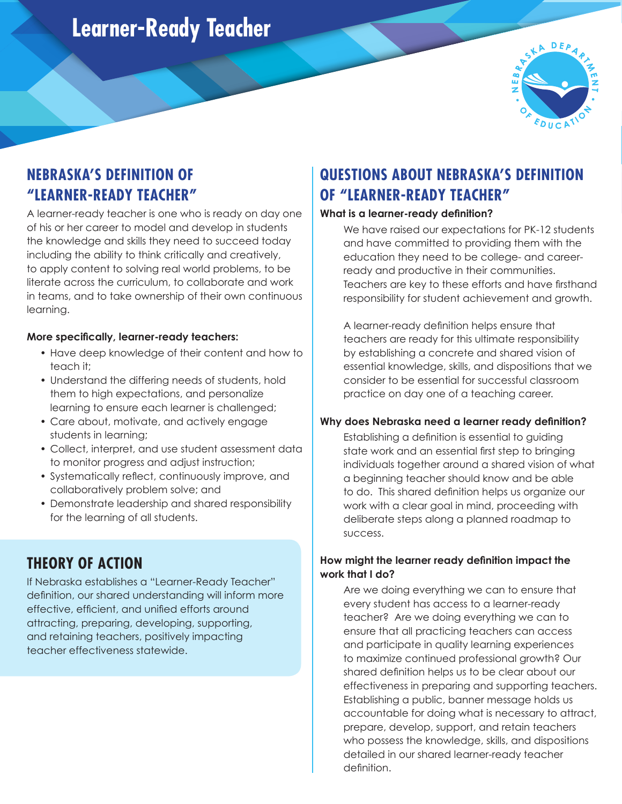# **Learner-Ready Teacher**



## **NEBRASKA'S DEFINITION OF "LEARNER-READY TEACHER"**

A learner-ready teacher is one who is ready on day one of his or her career to model and develop in students the knowledge and skills they need to succeed today including the ability to think critically and creatively, to apply content to solving real world problems, to be literate across the curriculum, to collaborate and work in teams, and to take ownership of their own continuous learning.

### **More specifically, learner-ready teachers:**

- Have deep knowledge of their content and how to teach it;
- Understand the differing needs of students, hold them to high expectations, and personalize learning to ensure each learner is challenged;
- Care about, motivate, and actively engage students in learning;
- Collect, interpret, and use student assessment data to monitor progress and adjust instruction;
- Systematically reflect, continuously improve, and collaboratively problem solve; and
- Demonstrate leadership and shared responsibility for the learning of all students.

### **THEORY OF ACTION**

If Nebraska establishes a "Learner-Ready Teacher" definition, our shared understanding will inform more effective, efficient, and unified efforts around attracting, preparing, developing, supporting, and retaining teachers, positively impacting teacher effectiveness statewide.

## **QUESTIONS ABOUT NEBRASKA'S DEFINITION OF "LEARNER-READY TEACHER"**

### **What is a learner-ready definition?**

We have raised our expectations for PK-12 students and have committed to providing them with the education they need to be college- and careerready and productive in their communities. Teachers are key to these efforts and have firsthand responsibility for student achievement and growth.

 A learner-ready definition helps ensure that teachers are ready for this ultimate responsibility by establishing a concrete and shared vision of essential knowledge, skills, and dispositions that we consider to be essential for successful classroom practice on day one of a teaching career.

### **Why does Nebraska need a learner ready definition?**

 Establishing a definition is essential to guiding state work and an essential first step to bringing individuals together around a shared vision of what a beginning teacher should know and be able to do. This shared definition helps us organize our work with a clear goal in mind, proceeding with deliberate steps along a planned roadmap to success.

### **How might the learner ready definition impact the work that I do?**

Are we doing everything we can to ensure that every student has access to a learner-ready teacher? Are we doing everything we can to ensure that all practicing teachers can access and participate in quality learning experiences to maximize continued professional growth? Our shared definition helps us to be clear about our effectiveness in preparing and supporting teachers. Establishing a public, banner message holds us accountable for doing what is necessary to attract, prepare, develop, support, and retain teachers who possess the knowledge, skills, and dispositions detailed in our shared learner-ready teacher definition.